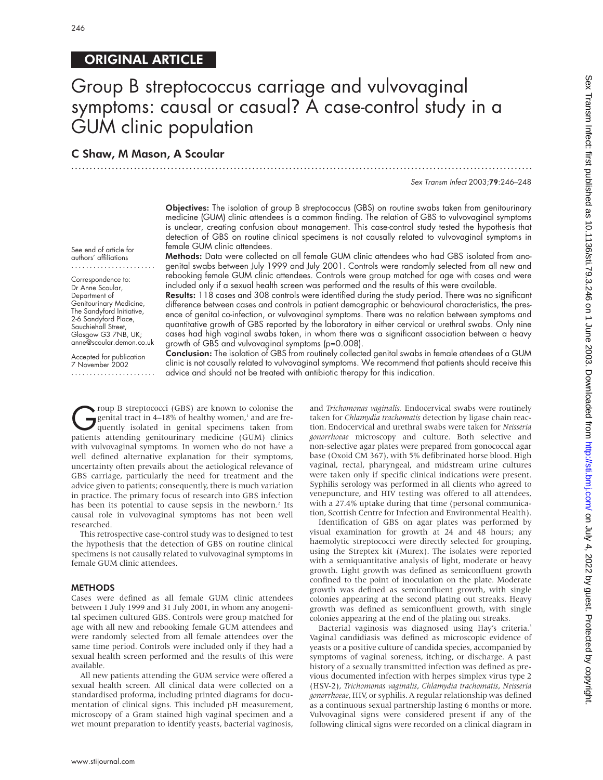# ORIGINAL ARTICLE

# Group B streptococcus carriage and vulvovaginal symptoms: causal or casual? A case-control study in a GUM clinic population

.............................................................................................................................

# C Shaw, M Mason, A Scoular

Sex Transm Infect 2003;79:246–248

Objectives: The isolation of group B streptococcus (GBS) on routine swabs taken from genitourinary medicine (GUM) clinic attendees is a common finding. The relation of GBS to vulvovaginal symptoms is unclear, creating confusion about management. This case-control study tested the hypothesis that detection of GBS on routine clinical specimens is not causally related to vulvovaginal symptoms in female GUM clinic attendees.

See end of article for authors' affiliations .......................

Correspondence to: Dr Anne Scoular, Department of Genitourinary Medicine, The Sandyford Initiative, 2-6 Sandyford Place, Sauchiehall Street, Glasgow G3 7NB, UK; anne@scoular.demon.co.uk

Accepted for publication 7 November 2002 .......................

Methods: Data were collected on all female GUM clinic attendees who had GBS isolated from anogenital swabs between July 1999 and July 2001. Controls were randomly selected from all new and rebooking female GUM clinic attendees. Controls were group matched for age with cases and were included only if a sexual health screen was performed and the results of this were available.

Results: 118 cases and 308 controls were identified during the study period. There was no significant difference between cases and controls in patient demographic or behavioural characteristics, the presence of genital co-infection, or vulvovaginal symptoms. There was no relation between symptoms and quantitative growth of GBS reported by the laboratory in either cervical or urethral swabs. Only nine cases had high vaginal swabs taken, in whom there was a significant association between a heavy growth of GBS and vulvovaginal symptoms (p=0.008).

Conclusion: The isolation of GBS from routinely collected genital swabs in female attendees of a GUM clinic is not causally related to vulvovaginal symptoms. We recommend that patients should receive this advice and should not be treated with antibiotic therapy for this indication.

Froup B streptococci (GBS) are known to colonise the<br>genital tract in 4–18% of healthy women,<sup>1</sup> and are frequently isolated in genital specimens taken from<br>patients, attending genitalizinary medicine (GUM) clinics genital tract in  $4-18\%$  of healthy women,<sup>1</sup> and are frepatients attending genitourinary medicine (GUM) clinics with vulvovaginal symptoms. In women who do not have a well defined alternative explanation for their symptoms, uncertainty often prevails about the aetiological relevance of GBS carriage, particularly the need for treatment and the advice given to patients; consequently, there is much variation in practice. The primary focus of research into GBS infection has been its potential to cause sepsis in the newborn.<sup>2</sup> Its causal role in vulvovaginal symptoms has not been well researched.

This retrospective case-control study was to designed to test the hypothesis that the detection of GBS on routine clinical specimens is not causally related to vulvovaginal symptoms in female GUM clinic attendees.

#### **METHODS**

Cases were defined as all female GUM clinic attendees between 1 July 1999 and 31 July 2001, in whom any anogenital specimen cultured GBS. Controls were group matched for age with all new and rebooking female GUM attendees and were randomly selected from all female attendees over the same time period. Controls were included only if they had a sexual health screen performed and the results of this were available.

All new patients attending the GUM service were offered a sexual health screen. All clinical data were collected on a standardised proforma, including printed diagrams for documentation of clinical signs. This included pH measurement, microscopy of a Gram stained high vaginal specimen and a wet mount preparation to identify yeasts, bacterial vaginosis,

and *Trichomonas vaginalis.* Endocervical swabs were routinely taken for *Chlamydia trachomatis* detection by ligase chain reaction. Endocervical and urethral swabs were taken for *Neisseria gonorrhoeae* microscopy and culture. Both selective and non-selective agar plates were prepared from gonococcal agar base (Oxoid CM 367), with 5% defibrinated horse blood. High vaginal, rectal, pharyngeal, and midstream urine cultures were taken only if specific clinical indications were present. Syphilis serology was performed in all clients who agreed to venepuncture, and HIV testing was offered to all attendees, with a 27.4% uptake during that time (personal communication, Scottish Centre for Infection and Environmental Health).

Identification of GBS on agar plates was performed by visual examination for growth at 24 and 48 hours; any haemolytic streptococci were directly selected for grouping, using the Streptex kit (Murex). The isolates were reported with a semiquantitative analysis of light, moderate or heavy growth. Light growth was defined as semiconfluent growth confined to the point of inoculation on the plate. Moderate growth was defined as semiconfluent growth, with single colonies appearing at the second plating out streaks. Heavy growth was defined as semiconfluent growth, with single colonies appearing at the end of the plating out streaks.

Bacterial vaginosis was diagnosed using Hay's criteria.<sup>3</sup> Vaginal candidiasis was defined as microscopic evidence of yeasts or a positive culture of candida species, accompanied by symptoms of vaginal soreness, itching, or discharge. A past history of a sexually transmitted infection was defined as previous documented infection with herpes simplex virus type 2 (HSV-2), *Trichomonas vaginalis*, *Chlamydia trachomatis*, *Neisseria gonorrhoeae*, HIV, or syphilis. A regular relationship was defined as a continuous sexual partnership lasting 6 months or more. Vulvovaginal signs were considered present if any of the following clinical signs were recorded on a clinical diagram in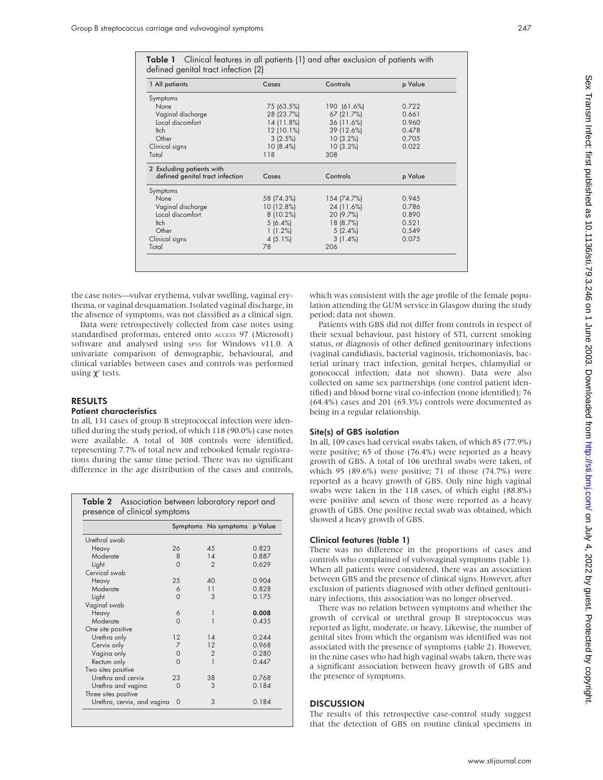Table 1 Clinical features in all patients (1) and after exclusion of patients with defined genital tract infection (2)

| 1 All patients                  | Cases       | Controls    | p Value |
|---------------------------------|-------------|-------------|---------|
| Symptoms                        |             |             |         |
| None                            | 75 (63.5%)  | 190 (61.6%) | 0.722   |
| Vaginal discharge               | 28 (23.7%)  | 67 (21.7%)  | 0.661   |
| Local discomfort                | 14(11.8%)   | 36 (11.6%)  | 0.960   |
| Itch                            | 12(10.1%)   | 39 (12.6%)  | 0.478   |
| Other                           | 3(2.5%)     | $10(3.2\%)$ | 0.705   |
| Clinical signs                  | $10(8.4\%)$ | $10(3.2\%)$ | 0.022   |
| Total                           | 118         | 308         |         |
| 2 Excluding patients with       |             |             |         |
| defined genital tract infection | Cases       | Controls    | p Value |
| Symptoms                        |             |             |         |
| None                            | 58 (74.3%)  | 154 (74.7%) | 0.945   |
| Vaginal discharge               | 10 (12.8%)  | 24 (11.6%)  | 0.786   |
| Local discomfort                | 8 (10.2%)   | 20 (9.7%)   | 0.890   |
|                                 |             | 18 (8.7%)   | 0.521   |
| Itch                            | 5(6.4%)     |             |         |
| Other                           | 1(1.2%)     | 5(2.4%)     | 0.549   |
| Clinical signs                  | 4(5.1%)     | 3(1.4%)     | 0.075   |

the case notes—vulvar erythema, vulvar swelling, vaginal erythema, or vaginal desquamation. Isolated vaginal discharge, in the absence of symptoms, was not classified as a clinical sign.

Data were retrospectively collected from case notes using standardised proformas, entered onto ACCESS 97 (Microsoft) software and analysed using spss for Windows v11.0. A univariate comparison of demographic, behavioural, and clinical variables between cases and controls was performed using  $χ²$  tests.

## RESULTS

## Patient characteristics

In all, 131 cases of group B streptococcal infection were identified during the study period, of which 118 (90.0%) case notes were available. A total of 308 controls were identified, representing 7.7% of total new and rebooked female registrations during the same time period. There was no significant difference in the age distribution of the cases and controls,

|                             |             | Symptoms No symptoms | p Value |
|-----------------------------|-------------|----------------------|---------|
| Urethral swab               |             |                      |         |
| Heavy                       | 26          | 45                   | 0.823   |
| Moderate                    | 8           | 14                   | 0.887   |
| Light                       | $\Omega$    | $\mathcal{P}$        | 0.629   |
| Cervical swab               |             |                      |         |
| Heavy                       | 25          | 40                   | 0.904   |
| Moderate                    | 6           | 11                   | 0.828   |
| Light                       | 0           | 3                    | 0.175   |
| Vaginal swab                |             |                      |         |
| Heavy                       | 6           | 1                    | 0.008   |
| Moderate                    | $\Omega$    | 1                    | 0.435   |
| One site positive           |             |                      |         |
| Urethra only                | 12          | 14                   | 0.244   |
| Cervix only                 | 7           | 12                   | 0.968   |
| Vagina only                 | $\mathbf 0$ | $\overline{2}$       | 0.280   |
| Rectum only                 | $\Omega$    | $\overline{1}$       | 0.447   |
| Two sites positive          |             |                      |         |
| Urethra and cervix          | 23          | 38                   | 0.768   |
| Urethra and vagina          | $\Omega$    | 3                    | 0.184   |
| Three sites positive        |             |                      |         |
| Urethra, cervix, and vagina | $\mathbf 0$ | 3                    | 0.184   |

which was consistent with the age profile of the female population attending the GUM service in Glasgow during the study period; data not shown.

Patients with GBS did not differ from controls in respect of their sexual behaviour, past history of STI, current smoking status, or diagnosis of other defined genitourinary infections (vaginal candidiasis, bacterial vaginosis, trichomoniasis, bacterial urinary tract infection, genital herpes, chlamydial or gonococcal infection; data not shown). Data were also collected on same sex partnerships (one control patient identified) and blood borne viral co-infection (none identified); 76 (64.4%) cases and 201 (65.3%) controls were documented as being in a regular relationship.

#### Site(s) of GBS isolation

In all, 109 cases had cervical swabs taken, of which 85 (77.9%) were positive; 65 of those (76.4%) were reported as a heavy growth of GBS. A total of 106 urethral swabs were taken, of which 95 (89.6%) were positive; 71 of those (74.7%) were reported as a heavy growth of GBS. Only nine high vaginal swabs were taken in the 118 cases, of which eight (88.8%) were positive and seven of those were reported as a heavy growth of GBS. One positive rectal swab was obtained, which showed a heavy growth of GBS.

#### Clinical features (table 1)

There was no difference in the proportions of cases and controls who complained of vulvovaginal symptoms (table 1). When all patients were considered, there was an association between GBS and the presence of clinical signs. However, after exclusion of patients diagnosed with other defined genitourinary infections, this association was no longer observed.

There was no relation between symptoms and whether the growth of cervical or urethral group B streptococcus was reported as light, moderate, or heavy. Likewise, the number of genital sites from which the organism was identified was not associated with the presence of symptoms (table 2). However, in the nine cases who had high vaginal swabs taken, there was a significant association between heavy growth of GBS and the presence of symptoms.

#### **DISCUSSION**

The results of this retrospective case-control study suggest that the detection of GBS on routine clinical specimens in